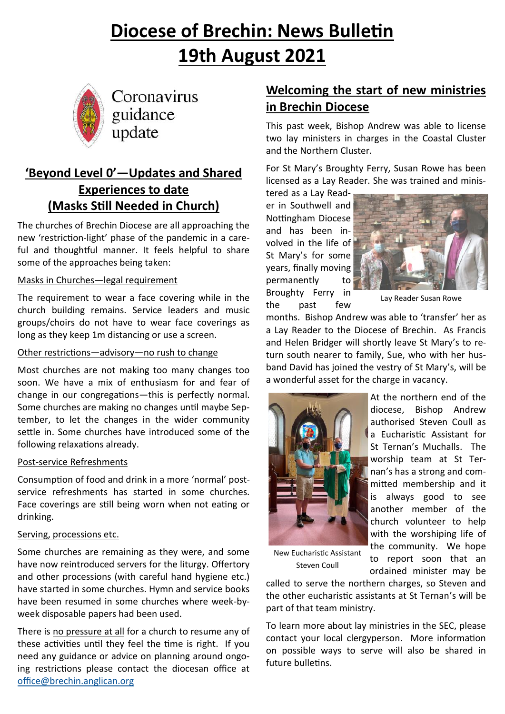# **Diocese of Brechin: News Bulletin 19th August 2021**



Coronavirus guidance update

# **'Beyond Level 0'—Updates and Shared Experiences to date (Masks Still Needed in Church)**

The churches of Brechin Diocese are all approaching the new 'restriction-light' phase of the pandemic in a careful and thoughtful manner. It feels helpful to share some of the approaches being taken:

#### Masks in Churches—legal requirement

The requirement to wear a face covering while in the church building remains. Service leaders and music groups/choirs do not have to wear face coverings as long as they keep 1m distancing or use a screen.

#### Other restrictions—advisory—no rush to change

Most churches are not making too many changes too soon. We have a mix of enthusiasm for and fear of change in our congregations—this is perfectly normal. Some churches are making no changes until maybe September, to let the changes in the wider community settle in. Some churches have introduced some of the following relaxations already.

#### Post-service Refreshments

Consumption of food and drink in a more 'normal' postservice refreshments has started in some churches. Face coverings are still being worn when not eating or drinking.

#### Serving, processions etc.

Some churches are remaining as they were, and some have now reintroduced servers for the liturgy. Offertory and other processions (with careful hand hygiene etc.) have started in some churches. Hymn and service books have been resumed in some churches where week-byweek disposable papers had been used.

There is no pressure at all for a church to resume any of these activities until they feel the time is right. If you need any guidance or advice on planning around ongoing restrictions please contact the diocesan office at [office@brechin.anglican.org](mailto:office@brechin.anglican.org)

# **Welcoming the start of new ministries in Brechin Diocese**

This past week, Bishop Andrew was able to license two lay ministers in charges in the Coastal Cluster and the Northern Cluster.

For St Mary's Broughty Ferry, Susan Rowe has been licensed as a Lay Reader. She was trained and minis-

tered as a Lay Reader in Southwell and Nottingham Diocese and has been involved in the life of St Mary's for some years, finally moving permanently to Broughty Ferry in the past few



Lay Reader Susan Rowe

months. Bishop Andrew was able to 'transfer' her as a Lay Reader to the Diocese of Brechin. As Francis and Helen Bridger will shortly leave St Mary's to return south nearer to family, Sue, who with her husband David has joined the vestry of St Mary's, will be a wonderful asset for the charge in vacancy.



At the northern end of the diocese, Bishop Andrew authorised Steven Coull as a Eucharistic Assistant for St Ternan's Muchalls. The worship team at St Ternan's has a strong and committed membership and it is always good to see another member of the church volunteer to help with the worshiping life of the community. We hope to report soon that an ordained minister may be

New Eucharistic Assistant Steven Coull

called to serve the northern charges, so Steven and the other eucharistic assistants at St Ternan's will be part of that team ministry.

To learn more about lay ministries in the SEC, please contact your local clergyperson. More information on possible ways to serve will also be shared in future bulletins.